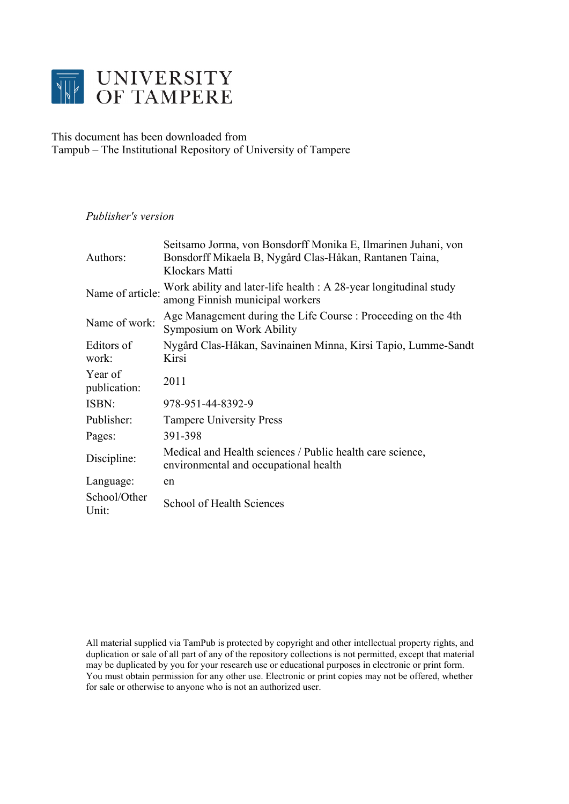

# This document has been downloaded from Tampub – The Institutional Repository of University of Tampere

## *Publisher's version*

| Authors:                | Seitsamo Jorma, von Bonsdorff Monika E, Ilmarinen Juhani, von<br>Bonsdorff Mikaela B, Nygård Clas-Håkan, Rantanen Taina,<br>Klockars Matti |
|-------------------------|--------------------------------------------------------------------------------------------------------------------------------------------|
| Name of article:        | Work ability and later-life health : A 28-year longitudinal study<br>among Finnish municipal workers                                       |
| Name of work:           | Age Management during the Life Course: Proceeding on the 4th<br>Symposium on Work Ability                                                  |
| Editors of<br>work:     | Nygård Clas-Håkan, Savinainen Minna, Kirsi Tapio, Lumme-Sandt<br>Kirsi                                                                     |
| Year of<br>publication: | 2011                                                                                                                                       |
| ISBN:                   | 978-951-44-8392-9                                                                                                                          |
| Publisher:              | <b>Tampere University Press</b>                                                                                                            |
| Pages:                  | 391-398                                                                                                                                    |
| Discipline:             | Medical and Health sciences / Public health care science,<br>environmental and occupational health                                         |
| Language:               | en                                                                                                                                         |
| School/Other<br>Unit:   | School of Health Sciences                                                                                                                  |

All material supplied via TamPub is protected by copyright and other intellectual property rights, and duplication or sale of all part of any of the repository collections is not permitted, except that material may be duplicated by you for your research use or educational purposes in electronic or print form. You must obtain permission for any other use. Electronic or print copies may not be offered, whether for sale or otherwise to anyone who is not an authorized user.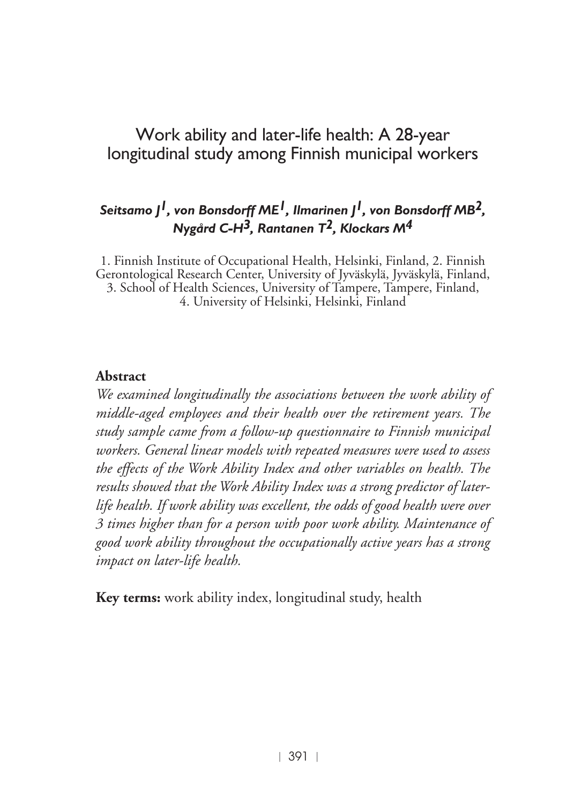## Work ability and later-life health: A 28-year longitudinal study among Finnish municipal workers

### *Seitsamo J1, von Bonsdorff ME1, Ilmarinen J1, von Bonsdorff MB2, Nygård C-H3, Rantanen T2, Klockars M4*

1. Finnish Institute of Occupational Health, Helsinki, Finland, 2. Finnish Gerontological Research Center, University of Jyväskylä, Jyväskylä, Finland, 3. School of Health Sciences, University of Tampere, Tampere, Finland, 4. University of Helsinki, Helsinki, Finland

#### **Abstract**

*We examined longitudinally the associations between the work ability of middle-aged employees and their health over the retirement years. The study sample came from a follow-up questionnaire to Finnish municipal workers. General linear models with repeated measures were used to assess the effects of the Work Ability Index and other variables on health. The results showed that the Work Ability Index was a strong predictor of laterlife health. If work ability was excellent, the odds of good health were over 3 times higher than for a person with poor work ability. Maintenance of good work ability throughout the occupationally active years has a strong impact on later-life health.*

**Key terms:** work ability index, longitudinal study, health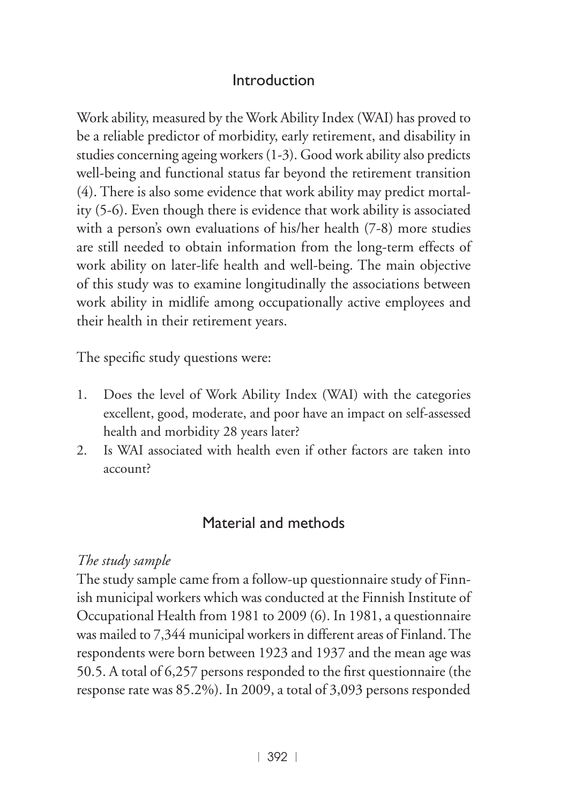## Introduction

Work ability, measured by the Work Ability Index (WAI) has proved to be a reliable predictor of morbidity, early retirement, and disability in studies concerning ageing workers (1-3). Good work ability also predicts well-being and functional status far beyond the retirement transition (4). There is also some evidence that work ability may predict mortality (5-6). Even though there is evidence that work ability is associated with a person's own evaluations of his/her health (7-8) more studies are still needed to obtain information from the long-term effects of work ability on later-life health and well-being. The main objective of this study was to examine longitudinally the associations between work ability in midlife among occupationally active employees and their health in their retirement years.

The specific study questions were:

- 1. Does the level of Work Ability Index (WAI) with the categories excellent, good, moderate, and poor have an impact on self-assessed health and morbidity 28 years later?
- 2. Is WAI associated with health even if other factors are taken into account?

## Material and methods

### *The study sample*

The study sample came from a follow-up questionnaire study of Finnish municipal workers which was conducted at the Finnish Institute of Occupational Health from 1981 to 2009 (6). In 1981, a questionnaire was mailed to 7,344 municipal workers in different areas of Finland. The respondents were born between 1923 and 1937 and the mean age was 50.5. A total of 6,257 persons responded to the first questionnaire (the response rate was 85.2%). In 2009, a total of 3,093 persons responded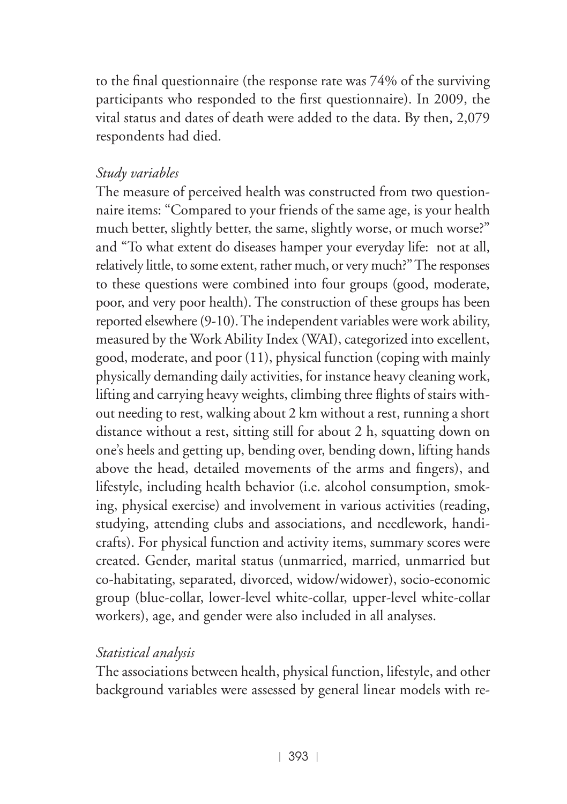to the final questionnaire (the response rate was 74% of the surviving participants who responded to the first questionnaire). In 2009, the vital status and dates of death were added to the data. By then, 2,079 respondents had died.

### *Study variables*

The measure of perceived health was constructed from two questionnaire items: "Compared to your friends of the same age, is your health much better, slightly better, the same, slightly worse, or much worse?" and "To what extent do diseases hamper your everyday life: not at all, relatively little, to some extent, rather much, or very much?" The responses to these questions were combined into four groups (good, moderate, poor, and very poor health). The construction of these groups has been reported elsewhere (9-10). The independent variables were work ability, measured by the Work Ability Index (WAI), categorized into excellent, good, moderate, and poor (11), physical function (coping with mainly physically demanding daily activities, for instance heavy cleaning work, lifting and carrying heavy weights, climbing three flights of stairs without needing to rest, walking about 2 km without a rest, running a short distance without a rest, sitting still for about 2 h, squatting down on one's heels and getting up, bending over, bending down, lifting hands above the head, detailed movements of the arms and fingers), and lifestyle, including health behavior (i.e. alcohol consumption, smoking, physical exercise) and involvement in various activities (reading, studying, attending clubs and associations, and needlework, handicrafts). For physical function and activity items, summary scores were created. Gender, marital status (unmarried, married, unmarried but co-habitating, separated, divorced, widow/widower), socio-economic group (blue-collar, lower-level white-collar, upper-level white-collar workers), age, and gender were also included in all analyses.

### *Statistical analysis*

The associations between health, physical function, lifestyle, and other background variables were assessed by general linear models with re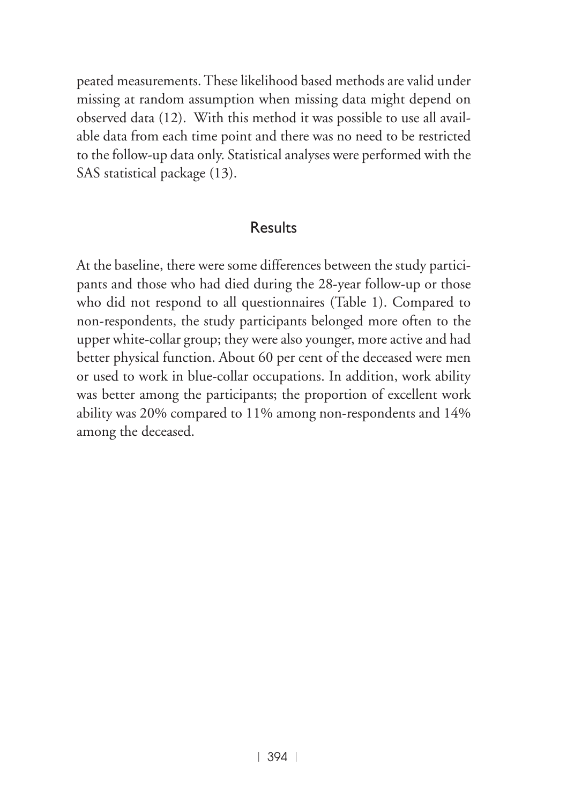peated measurements. These likelihood based methods are valid under missing at random assumption when missing data might depend on observed data (12). With this method it was possible to use all available data from each time point and there was no need to be restricted to the follow-up data only. Statistical analyses were performed with the SAS statistical package (13).

#### Results

At the baseline, there were some differences between the study participants and those who had died during the 28-year follow-up or those who did not respond to all questionnaires (Table 1). Compared to non-respondents, the study participants belonged more often to the upper white-collar group; they were also younger, more active and had better physical function. About 60 per cent of the deceased were men or used to work in blue-collar occupations. In addition, work ability was better among the participants; the proportion of excellent work ability was 20% compared to 11% among non-respondents and 14% among the deceased.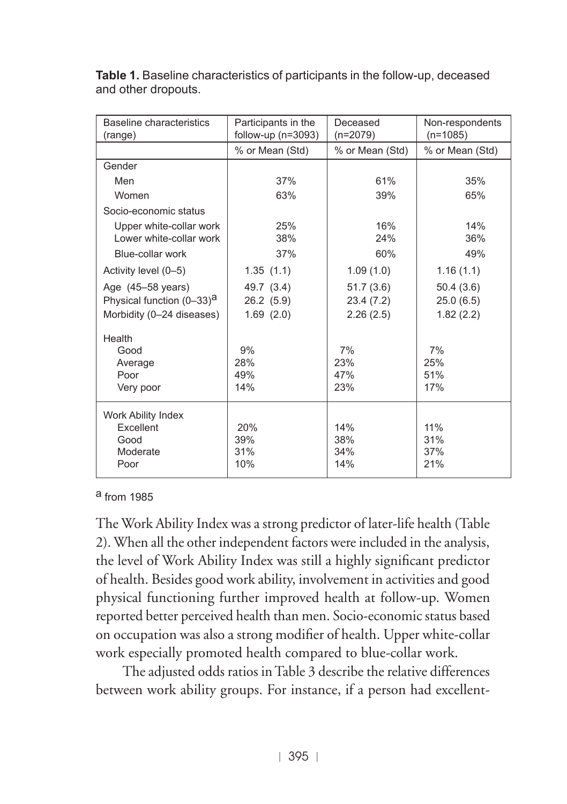| Baseline characteristics<br>(range)   | Participants in the<br>follow-up $(n=3093)$ | Deceased<br>$(n=2079)$ | Non-respondents<br>$(n=1085)$ |  |
|---------------------------------------|---------------------------------------------|------------------------|-------------------------------|--|
|                                       | % or Mean (Std)                             | % or Mean (Std)        | % or Mean (Std)               |  |
| Gender                                |                                             |                        |                               |  |
| Men                                   | 37%                                         | 61%                    | 35%                           |  |
| Women                                 | 63%                                         | 39%                    | 65%                           |  |
| Socio-economic status                 |                                             |                        |                               |  |
| Upper white-collar work               | 25%                                         | 16%                    | 14%                           |  |
| Lower white-collar work               | 38%                                         | 24%                    | 36%                           |  |
| Blue-collar work                      | 37%                                         | 60%                    | 49%                           |  |
| Activity level (0-5)                  | 1.35(1.1)                                   | 1.09(1.0)              | 1.16(1.1)                     |  |
| Age (45-58 years)                     | 49.7 (3.4)                                  | 51.7(3.6)              | 50.4(3.6)                     |  |
| Physical function (0-33) <sup>a</sup> | 26.2 (5.9)                                  | 23.4 (7.2)             | 25.0(6.5)                     |  |
| Morbidity (0-24 diseases)             | 1.69(2.0)                                   | 2.26(2.5)              | 1.82(2.2)                     |  |
| Health                                |                                             |                        |                               |  |
| Good                                  | 9%                                          | 7%                     | 7%                            |  |
| Average                               | 28%                                         | 23%                    | 25%                           |  |
| Poor                                  | 49%                                         | 47%                    | 51%                           |  |
| Very poor                             | 14%                                         | 23%                    | 17%                           |  |
| Work Ability Index                    |                                             |                        |                               |  |
| Excellent                             | 20%                                         | 14%                    | 11%                           |  |
| Good                                  | 39%                                         | 38%                    | 31%                           |  |
| Moderate                              | 31%                                         | 34%                    | 37%                           |  |
| Poor                                  | 10%                                         | 14%                    | 21%                           |  |

**Table 1.** Baseline characteristics of participants in the follow-up, deceased and other dropouts.

#### a from 1985

The Work Ability Index was a strong predictor of later-life health (Table 2). When all the other independent factors were included in the analysis, the level of Work Ability Index was still a highly significant predictor of health. Besides good work ability, involvement in activities and good physical functioning further improved health at follow-up. Women reported better perceived health than men. Socio-economic status based on occupation was also a strong modifier of health. Upper white-collar work especially promoted health compared to blue-collar work.

The adjusted odds ratios in Table 3 describe the relative differences between work ability groups. For instance, if a person had excellent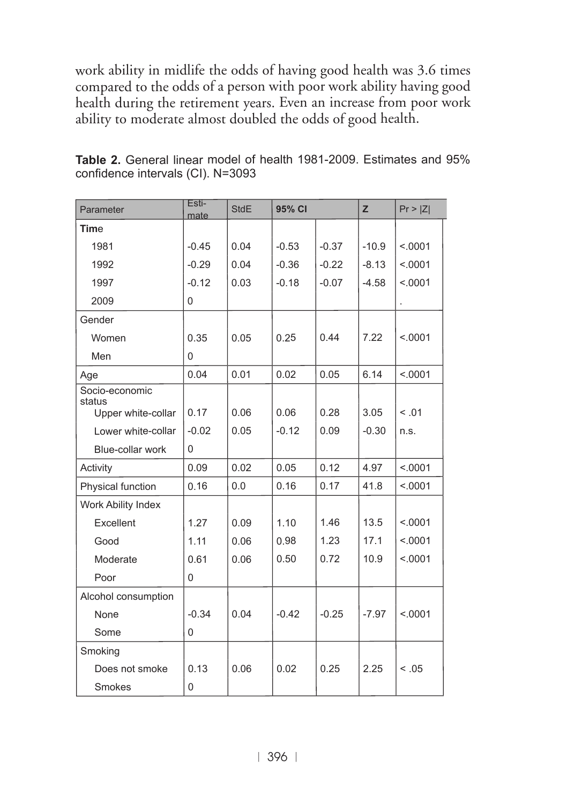work ability in midlife the odds of having good health was 3.6 times compared to the odds of a person with poor work ability having good health during the retirement years. Even an increase from poor work ability to moderate almost doubled the odds of good health.

| Parameter                | Esti-<br>mate | <b>StdE</b> | 95% CI  |         | Z       | Pr >  Z |
|--------------------------|---------------|-------------|---------|---------|---------|---------|
| Time                     |               |             |         |         |         |         |
| 1981                     | $-0.45$       | 0.04        | $-0.53$ | $-0.37$ | $-10.9$ | < .0001 |
| 1992                     | $-0.29$       | 0.04        | $-0.36$ | $-0.22$ | $-8.13$ | < .0001 |
| 1997                     | $-0.12$       | 0.03        | $-0.18$ | $-0.07$ | $-4.58$ | < .0001 |
| 2009                     | $\Omega$      |             |         |         |         |         |
| Gender                   |               |             |         |         |         |         |
| Women                    | 0.35          | 0.05        | 0.25    | 0.44    | 7.22    | < .0001 |
| Men                      | $\Omega$      |             |         |         |         |         |
| Age                      | 0.04          | 0.01        | 0.02    | 0.05    | 6.14    | < .0001 |
| Socio-economic<br>status |               |             |         |         |         |         |
| Upper white-collar       | 0.17          | 0.06        | 0.06    | 0.28    | 3.05    | < 0.01  |
| Lower white-collar       | $-0.02$       | 0.05        | $-0.12$ | 0.09    | $-0.30$ | n.s.    |
| Blue-collar work         | $\Omega$      |             |         |         |         |         |
| Activity                 | 0.09          | 0.02        | 0.05    | 0.12    | 4.97    | < .0001 |
| Physical function        | 0.16          | 0.0         | 0.16    | 0.17    | 41.8    | < .0001 |
| Work Ability Index       |               |             |         |         |         |         |
| Excellent                | 1.27          | 0.09        | 1.10    | 1.46    | 13.5    | < .0001 |
| Good                     | 1.11          | 0.06        | 0.98    | 1.23    | 17.1    | < .0001 |
| Moderate                 | 0.61          | 0.06        | 0.50    | 0.72    | 10.9    | < .0001 |
| Poor                     | 0             |             |         |         |         |         |
| Alcohol consumption      |               |             |         |         |         |         |
| None                     | $-0.34$       | 0.04        | $-0.42$ | $-0.25$ | $-7.97$ | < .0001 |
| Some                     | $\mathbf 0$   |             |         |         |         |         |
| Smoking                  |               |             |         |         |         |         |
| Does not smoke           | 0.13          | 0.06        | 0.02    | 0.25    | 2.25    | < 0.05  |
| Smokes                   | 0             |             |         |         |         |         |

**Table 2.** General linear model of health 1981-2009. Estimates and 95% confidence intervals (CI). N=3093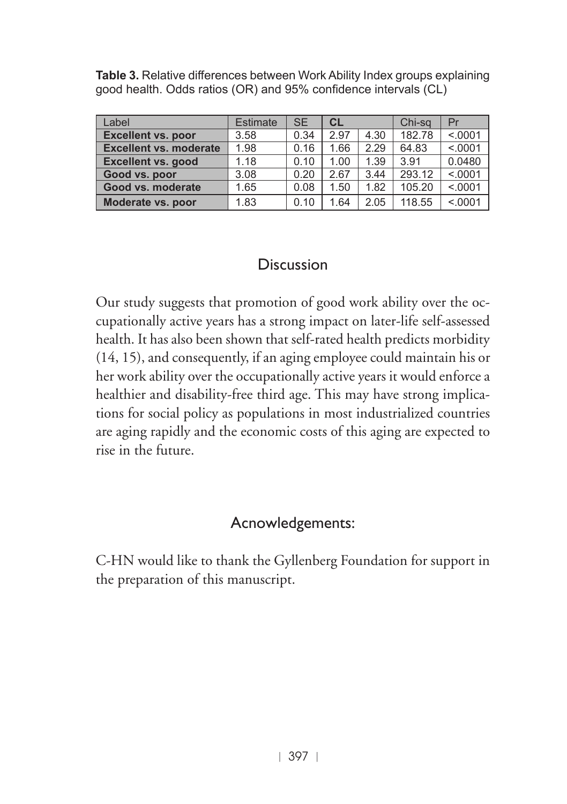**Table 3.** Relative differences between Work Ability Index groups explaining good health. Odds ratios (OR) and 95% confidence intervals (CL)

| Label                         | <b>Estimate</b> | <b>SE</b> | <b>CL</b> |      | Chi-sa | Pr      |
|-------------------------------|-----------------|-----------|-----------|------|--------|---------|
| <b>Excellent vs. poor</b>     | 3.58            | 0.34      | 2.97      | 4.30 | 182.78 | < .0001 |
| <b>Excellent vs. moderate</b> | 1.98            | 0.16      | 1.66      | 2.29 | 64.83  | < .0001 |
| <b>Excellent vs. good</b>     | 1.18            | 0.10      | 1.00      | 1.39 | 3.91   | 0.0480  |
| Good vs. poor                 | 3.08            | 0.20      | 2.67      | 3.44 | 293.12 | < .0001 |
| Good vs. moderate             | 1.65            | 0.08      | 1.50      | 1.82 | 105.20 | < .0001 |
| Moderate vs. poor             | 1.83            | 0.10      | 1.64      | 2.05 | 118.55 | < .0001 |

### Discussion

Our study suggests that promotion of good work ability over the occupationally active years has a strong impact on later-life self-assessed health. It has also been shown that self-rated health predicts morbidity (14, 15), and consequently, if an aging employee could maintain his or her work ability over the occupationally active years it would enforce a healthier and disability-free third age. This may have strong implications for social policy as populations in most industrialized countries are aging rapidly and the economic costs of this aging are expected to rise in the future.

## Acnowledgements:

C-HN would like to thank the Gyllenberg Foundation for support in the preparation of this manuscript.